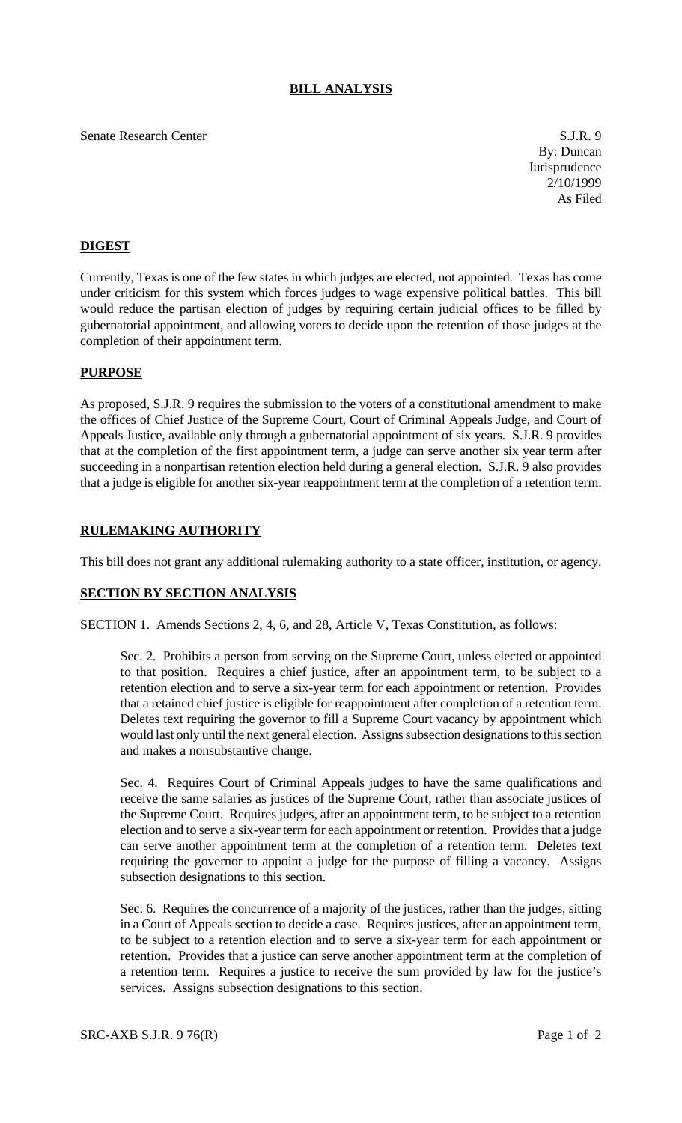# **BILL ANALYSIS**

### Senate Research Center S.J.R. 9

By: Duncan Jurisprudence 2/10/1999 As Filed

# **DIGEST**

Currently, Texas is one of the few states in which judges are elected, not appointed. Texas has come under criticism for this system which forces judges to wage expensive political battles. This bill would reduce the partisan election of judges by requiring certain judicial offices to be filled by gubernatorial appointment, and allowing voters to decide upon the retention of those judges at the completion of their appointment term.

# **PURPOSE**

As proposed, S.J.R. 9 requires the submission to the voters of a constitutional amendment to make the offices of Chief Justice of the Supreme Court, Court of Criminal Appeals Judge, and Court of Appeals Justice, available only through a gubernatorial appointment of six years. S.J.R. 9 provides that at the completion of the first appointment term, a judge can serve another six year term after succeeding in a nonpartisan retention election held during a general election. S.J.R. 9 also provides that a judge is eligible for another six-year reappointment term at the completion of a retention term.

# **RULEMAKING AUTHORITY**

This bill does not grant any additional rulemaking authority to a state officer, institution, or agency.

### **SECTION BY SECTION ANALYSIS**

SECTION 1. Amends Sections 2, 4, 6, and 28, Article V, Texas Constitution, as follows:

Sec. 2. Prohibits a person from serving on the Supreme Court, unless elected or appointed to that position. Requires a chief justice, after an appointment term, to be subject to a retention election and to serve a six-year term for each appointment or retention. Provides that a retained chief justice is eligible for reappointment after completion of a retention term. Deletes text requiring the governor to fill a Supreme Court vacancy by appointment which would last only until the next general election. Assigns subsection designations to this section and makes a nonsubstantive change.

Sec. 4. Requires Court of Criminal Appeals judges to have the same qualifications and receive the same salaries as justices of the Supreme Court, rather than associate justices of the Supreme Court. Requires judges, after an appointment term, to be subject to a retention election and to serve a six-year term for each appointment or retention. Provides that a judge can serve another appointment term at the completion of a retention term. Deletes text requiring the governor to appoint a judge for the purpose of filling a vacancy. Assigns subsection designations to this section.

Sec. 6. Requires the concurrence of a majority of the justices, rather than the judges, sitting in a Court of Appeals section to decide a case. Requires justices, after an appointment term, to be subject to a retention election and to serve a six-year term for each appointment or retention. Provides that a justice can serve another appointment term at the completion of a retention term. Requires a justice to receive the sum provided by law for the justice's services. Assigns subsection designations to this section.